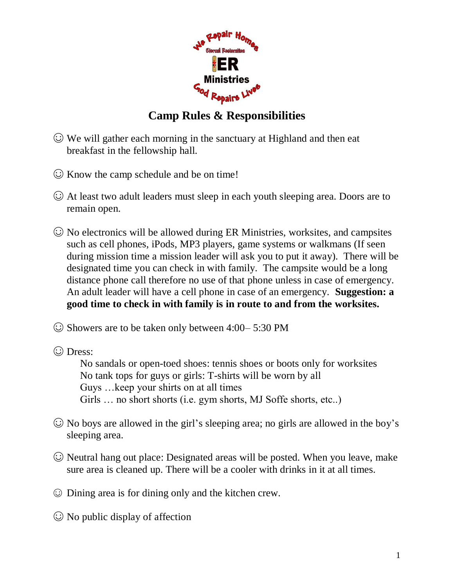

## **Camp Rules & Responsibilities**

- ☺ We will gather each morning in the sanctuary at Highland and then eat breakfast in the fellowship hall.
- ☺ Know the camp schedule and be on time!
- ☺ At least two adult leaders must sleep in each youth sleeping area. Doors are to remain open.
- ☺ No electronics will be allowed during ER Ministries, worksites, and campsites such as cell phones, iPods, MP3 players, game systems or walkmans (If seen during mission time a mission leader will ask you to put it away). There will be designated time you can check in with family. The campsite would be a long distance phone call therefore no use of that phone unless in case of emergency. An adult leader will have a cell phone in case of an emergency. **Suggestion: a good time to check in with family is in route to and from the worksites.**
- ☺ Showers are to be taken only between 4:00– 5:30 PM
- ☺ Dress:

No sandals or open-toed shoes: tennis shoes or boots only for worksites No tank tops for guys or girls: T-shirts will be worn by all Guys …keep your shirts on at all times Girls ... no short shorts (i.e. gym shorts, MJ Soffe shorts, etc..)

- $\odot$  No boys are allowed in the girl's sleeping area; no girls are allowed in the boy's sleeping area.
- ☺ Neutral hang out place: Designated areas will be posted. When you leave, make sure area is cleaned up. There will be a cooler with drinks in it at all times.
- ☺ Dining area is for dining only and the kitchen crew.
- $\odot$  No public display of affection